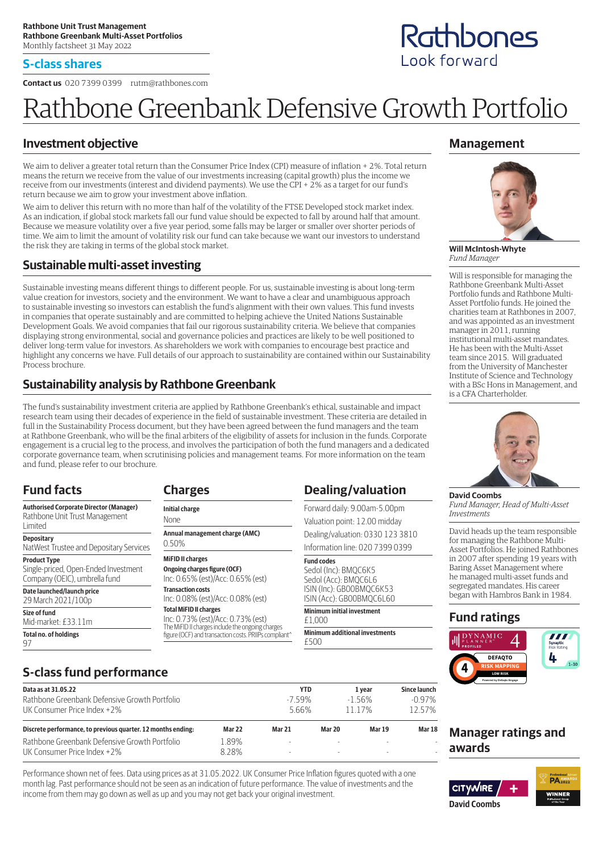#### **S-class shares**

**Contact us** 020 7399 0399 rutm@rathbones.com

# Rathbone Greenbank Defensive Growth Portfolio

#### **Investment objective**

We aim to deliver a greater total return than the Consumer Price Index (CPI) measure of inflation + 2%. Total return means the return we receive from the value of our investments increasing (capital growth) plus the income we receive from our investments (interest and dividend payments). We use the CPI + 2% as a target for our fund's return because we aim to grow your investment above inflation.

We aim to deliver this return with no more than half of the volatility of the FTSE Developed stock market index. As an indication, if global stock markets fall our fund value should be expected to fall by around half that amount. Because we measure volatility over a five year period, some falls may be larger or smaller over shorter periods of time. We aim to limit the amount of volatility risk our fund can take because we want our investors to understand the risk they are taking in terms of the global stock market.

#### **Sustainable multi-asset investing**

Sustainable investing means different things to different people. For us, sustainable investing is about long-term value creation for investors, society and the environment. We want to have a clear and unambiguous approach to sustainable investing so investors can establish the fund's alignment with their own values. This fund invests in companies that operate sustainably and are committed to helping achieve the United Nations Sustainable Development Goals. We avoid companies that fail our rigorous sustainability criteria. We believe that companies displaying strong environmental, social and governance policies and practices are likely to be well positioned to deliver long-term value for investors. As shareholders we work with companies to encourage best practice and highlight any concerns we have. Full details of our approach to sustainability are contained within our Sustainability Process brochure.

### **Sustainability analysis by Rathbone Greenbank**

The fund's sustainability investment criteria are applied by Rathbone Greenbank's ethical, sustainable and impact research team using their decades of experience in the field of sustainable investment. These criteria are detailed in full in the Sustainability Process document, but they have been agreed between the fund managers and the team at Rathbone Greenbank, who will be the final arbiters of the eligibility of assets for inclusion in the funds. Corporate engagement is a crucial leg to the process, and involves the participation of both the fund managers and a dedicated corporate governance team, when scrutinising policies and management teams. For more information on the team and fund, please refer to our brochure.

## **Fund facts**

**Size of fund**

97

Mid-market: £33.11m **Total no. of holdings**

**Authorised Corporate Director (Manager)** Rathbone Unit Trust Management Limited **Depositary** NatWest Trustee and Depositary Services **Product Type** Single-priced, Open-Ended Investment Company (OEIC), umbrella fund **Date launched/launch price** 29 March 2021/100p

#### 0.50% **MiFID II charges Ongoing charges figure (OCF)** Inc: 0.65% (est)/Acc: 0.65% (est) **Transaction costs** Inc: 0.08% (est)/Acc: 0.08% (est) **Total MiFID II charges** Inc: 0.73% (est)/Acc: 0.73% (est) The MiFID II charges include the ongoing charges figure (OCF) and transaction costs. PRIIPs compliant^

**Annual management charge (AMC)**

**Charges Initial charge** None

### **Dealing/valuation**

Forward daily: 9.00am-5.00pm Valuation point: 12.00 midday Dealing/valuation: 0330 123 3810

Information line: 020 7399 0399

#### **Fund codes**

Sedol (Inc): BMQC6K5 Sedol (Acc): BMQC6L6 ISIN (Inc): GB00BMQC6K53 ISIN (Acc): GB00BMQC6L60

**Minimum initial investment**  $f1000$ 

**Minimum additional investments** £500

## **Management**

Rathbones

Look forward



**Will McIntosh-Whyte** *Fund Manager*

Will is responsible for managing the Rathbone Greenbank Multi-Asset Portfolio funds and Rathbone Multi-Asset Portfolio funds. He joined the charities team at Rathbones in 2007, and was appointed as an investment manager in 2011, running institutional multi-asset mandates. He has been with the Multi-Asset team since 2015. Will graduated from the University of Manchester Institute of Science and Technology with a BSc Hons in Management, and is a CFA Charterholder.



#### **David Coombs** *Fund Manager, Head of Multi-Asset Investments*

David heads up the team responsible for managing the Rathbone Multi-Asset Portfolios. He joined Rathbones in 2007 after spending 19 years with Baring Asset Management where he managed multi-asset funds and segregated mandates. His career began with Hambros Bank in 1984.

#### **Fund ratings**



## **S-class fund performance**

| Data as at 31.05.22                                                          |               | <b>YTD</b> |                          | 1 vear        | Since launch |
|------------------------------------------------------------------------------|---------------|------------|--------------------------|---------------|--------------|
| Rathbone Greenbank Defensive Growth Portfolio<br>UK Consumer Price Index +2% |               | $-759%$    |                          | $-156%$       | $-0.97\%$    |
|                                                                              |               | 566%       |                          | 11 1 7%       | 12.57%       |
| Discrete performance, to previous quarter. 12 months ending:                 | <b>Mar 22</b> | Mar 21     | Mar 20                   | <b>Mar 19</b> | Mar 18       |
| Rathbone Greenbank Defensive Growth Portfolio                                | 1.89%         |            | $\sim$                   |               |              |
| UK Consumer Price Index +2%                                                  | 8 28%         |            | $\overline{\phantom{a}}$ |               |              |

Performance shown net of fees. Data using prices as at 31.05.2022. UK Consumer Price Inflation figures quoted with a one month lag. Past performance should not be seen as an indication of future performance. The value of investments and the income from them may go down as well as up and you may not get back your original investment.



**David Coombs**

**Manager ratings and**